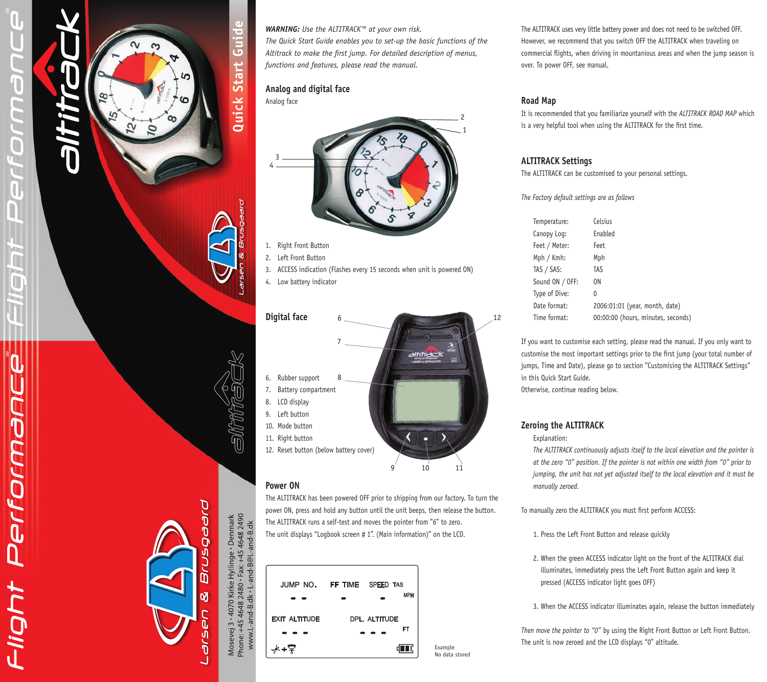# $\Box$

Performand

HODII

**Quick Start Guide**

Quick Start

Guide



3. ACCESS indication (Flashes every 15 seconds when unit is powered ON)

*WARNING: Use the ALTITRACK™ at your own risk.* 

*functions and features, please read the manual.*

**Analog and digital face**

1. Right Front Button 2. Left Front Button

4. Low battery indicator

Analog face

3 4

*The Quick Start Guide enables you to set-up the basic functions of the Altitrack to make the first jump. For detailed description of menus,* 

# **Power ON**

The ALTITRACK has been powered OFF prior to shipping from our factory. To turn the power ON, press and hold any button until the unit beeps, then release the button. The ALTITRACK runs a self-test and moves the pointer from "6" to zero. The unit displays "Logbook screen # 1". (Main information)" on the LCD.



The ALTITRACK uses very little battery power and does not need to be switched OFF. However, we recommend that you switch OFF the ALTITRACK when traveling on commercial flights, when driving in mountanious areas and when the jump season is over. To power OFF, see manual.

# **Road Map**

It is recommended that you familiarize yourself with the *ALTITRACK ROAD MAP* which is a very helpful tool when using the ALTITRACK for the first time.

# **ALTITRACK Settings**

The ALTITRACK can be customised to your personal settings.

*The Factory default settings are as follows*

| Temperature:    | Celsius                            |
|-----------------|------------------------------------|
| Canopy Log:     | Enabled                            |
| Feet / Meter:   | Feet                               |
| Mph / Kmh:      | Mph                                |
| TAS / SAS:      | TAS                                |
| Sound ON / OFF: | 0N                                 |
| Type of Dive:   | 0                                  |
| Date format:    | 2006:01:01 (year, month, date)     |
| Time format:    | 00:00:00 (hours, minutes, seconds) |

If you want to customise each setting, please read the manual. If you only want to customise the most important settings prior to the first jump (your total number of jumps, Time and Date), please go to section "Customising the ALTITRACK Settings" in this Quick Start Guide.

Otherwise, continue reading below.

# **Zeroing the ALTITRACK**

Explanation:

*The ALTITRACK continuously adjusts itself to the local elevation and the pointer is at the zero "0" position. If the pointer is not within one width from "0" prior to jumping, the unit has not yet adjusted itself to the local elevation and it must be manually zeroed.* 

To manually zero the ALTITRACK you must first perform ACCESS:

- 1. Press the Left Front Button and release quickly
- 2. When the green ACCESS indicator light on the front of the ALTITRACK dial illuminates, immediately press the Left Front Button again and keep it pressed (ACCESS indicator light goes OFF)

3. When the ACCESS indicator illuminates again, release the button immediately

*Then move the pointer to "0"* by using the Right Front Button or Left Front Button. The unit is now zeroed and the LCD displays "0" altitude. Example

D<br>D<br>D<br>D

Mosevej 3 • 4070 Kirke Hyllinge • Denmark<br>Phone: +45 4648 2480 • Fax: +45 4648 2490<br>www.L-and-B.dk • L-and-B@L-and-B.dk

1 2

12

No data stored